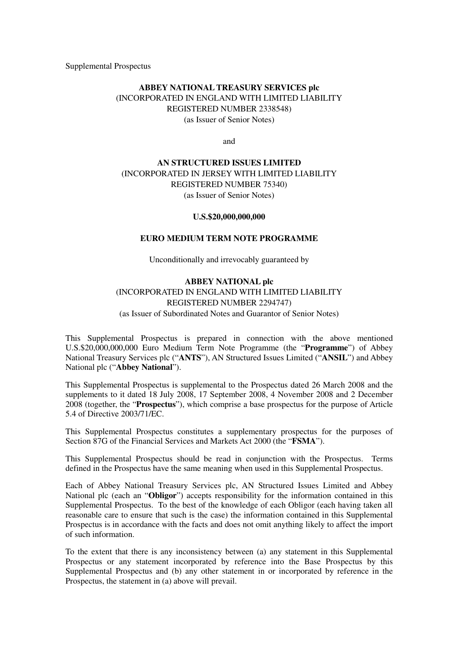Supplemental Prospectus

## **ABBEY NATIONAL TREASURY SERVICES plc** (INCORPORATED IN ENGLAND WITH LIMITED LIABILITY REGISTERED NUMBER 2338548) (as Issuer of Senior Notes)

and

# **AN STRUCTURED ISSUES LIMITED** (INCORPORATED IN JERSEY WITH LIMITED LIABILITY REGISTERED NUMBER 75340) (as Issuer of Senior Notes)

#### **U.S.\$20,000,000,000**

#### **EURO MEDIUM TERM NOTE PROGRAMME**

Unconditionally and irrevocably guaranteed by

## **ABBEY NATIONAL plc**

## (INCORPORATED IN ENGLAND WITH LIMITED LIABILITY REGISTERED NUMBER 2294747) (as Issuer of Subordinated Notes and Guarantor of Senior Notes)

This Supplemental Prospectus is prepared in connection with the above mentioned U.S.\$20,000,000,000 Euro Medium Term Note Programme (the "**Programme**") of Abbey National Treasury Services plc ("**ANTS**"), AN Structured Issues Limited ("**ANSIL**") and Abbey National plc ("**Abbey National**").

This Supplemental Prospectus is supplemental to the Prospectus dated 26 March 2008 and the supplements to it dated 18 July 2008, 17 September 2008, 4 November 2008 and 2 December 2008 (together, the "**Prospectus**"), which comprise a base prospectus for the purpose of Article 5.4 of Directive 2003/71/EC.

This Supplemental Prospectus constitutes a supplementary prospectus for the purposes of Section 87G of the Financial Services and Markets Act 2000 (the "**FSMA**").

This Supplemental Prospectus should be read in conjunction with the Prospectus. Terms defined in the Prospectus have the same meaning when used in this Supplemental Prospectus.

Each of Abbey National Treasury Services plc, AN Structured Issues Limited and Abbey National plc (each an "**Obligor**") accepts responsibility for the information contained in this Supplemental Prospectus. To the best of the knowledge of each Obligor (each having taken all reasonable care to ensure that such is the case) the information contained in this Supplemental Prospectus is in accordance with the facts and does not omit anything likely to affect the import of such information.

To the extent that there is any inconsistency between (a) any statement in this Supplemental Prospectus or any statement incorporated by reference into the Base Prospectus by this Supplemental Prospectus and (b) any other statement in or incorporated by reference in the Prospectus, the statement in (a) above will prevail.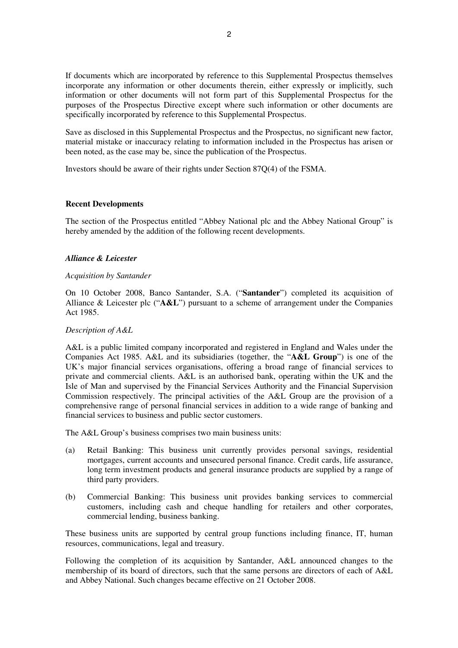If documents which are incorporated by reference to this Supplemental Prospectus themselves incorporate any information or other documents therein, either expressly or implicitly, such information or other documents will not form part of this Supplemental Prospectus for the purposes of the Prospectus Directive except where such information or other documents are specifically incorporated by reference to this Supplemental Prospectus.

Save as disclosed in this Supplemental Prospectus and the Prospectus, no significant new factor, material mistake or inaccuracy relating to information included in the Prospectus has arisen or been noted, as the case may be, since the publication of the Prospectus.

Investors should be aware of their rights under Section 87Q(4) of the FSMA.

### **Recent Developments**

The section of the Prospectus entitled "Abbey National plc and the Abbey National Group" is hereby amended by the addition of the following recent developments.

## *Alliance & Leicester*

#### *Acquisition by Santander*

On 10 October 2008, Banco Santander, S.A. ("**Santander**") completed its acquisition of Alliance & Leicester plc ("**A&L**") pursuant to a scheme of arrangement under the Companies Act 1985.

#### *Description of A&L*

A&L is a public limited company incorporated and registered in England and Wales under the Companies Act 1985. A&L and its subsidiaries (together, the "**A&L Group**") is one of the UK's major financial services organisations, offering a broad range of financial services to private and commercial clients. A&L is an authorised bank, operating within the UK and the Isle of Man and supervised by the Financial Services Authority and the Financial Supervision Commission respectively. The principal activities of the A&L Group are the provision of a comprehensive range of personal financial services in addition to a wide range of banking and financial services to business and public sector customers.

The A&L Group's business comprises two main business units:

- (a) Retail Banking: This business unit currently provides personal savings, residential mortgages, current accounts and unsecured personal finance. Credit cards, life assurance, long term investment products and general insurance products are supplied by a range of third party providers.
- (b) Commercial Banking: This business unit provides banking services to commercial customers, including cash and cheque handling for retailers and other corporates, commercial lending, business banking.

These business units are supported by central group functions including finance, IT, human resources, communications, legal and treasury.

Following the completion of its acquisition by Santander, A&L announced changes to the membership of its board of directors, such that the same persons are directors of each of A&L and Abbey National. Such changes became effective on 21 October 2008.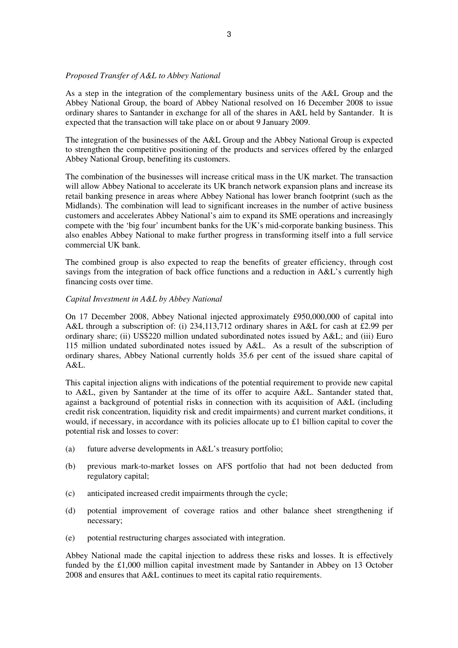## *Proposed Transfer of A&L to Abbey National*

As a step in the integration of the complementary business units of the A&L Group and the Abbey National Group, the board of Abbey National resolved on 16 December 2008 to issue ordinary shares to Santander in exchange for all of the shares in A&L held by Santander. It is expected that the transaction will take place on or about 9 January 2009.

The integration of the businesses of the A&L Group and the Abbey National Group is expected to strengthen the competitive positioning of the products and services offered by the enlarged Abbey National Group, benefiting its customers.

The combination of the businesses will increase critical mass in the UK market. The transaction will allow Abbey National to accelerate its UK branch network expansion plans and increase its retail banking presence in areas where Abbey National has lower branch footprint (such as the Midlands). The combination will lead to significant increases in the number of active business customers and accelerates Abbey National's aim to expand its SME operations and increasingly compete with the 'big four' incumbent banks for the UK's mid-corporate banking business. This also enables Abbey National to make further progress in transforming itself into a full service commercial UK bank.

The combined group is also expected to reap the benefits of greater efficiency, through cost savings from the integration of back office functions and a reduction in A&L's currently high financing costs over time.

## *Capital Investment in A&L by Abbey National*

On 17 December 2008, Abbey National injected approximately £950,000,000 of capital into A&L through a subscription of: (i) 234,113,712 ordinary shares in A&L for cash at £2.99 per ordinary share; (ii) US\$220 million undated subordinated notes issued by A&L; and (iii) Euro 115 million undated subordinated notes issued by A&L. As a result of the subscription of ordinary shares, Abbey National currently holds 35.6 per cent of the issued share capital of A&L.

This capital injection aligns with indications of the potential requirement to provide new capital to A&L, given by Santander at the time of its offer to acquire A&L. Santander stated that, against a background of potential risks in connection with its acquisition of A&L (including credit risk concentration, liquidity risk and credit impairments) and current market conditions, it would, if necessary, in accordance with its policies allocate up to £1 billion capital to cover the potential risk and losses to cover:

- (a) future adverse developments in A&L's treasury portfolio;
- (b) previous mark-to-market losses on AFS portfolio that had not been deducted from regulatory capital;
- (c) anticipated increased credit impairments through the cycle;
- (d) potential improvement of coverage ratios and other balance sheet strengthening if necessary;
- (e) potential restructuring charges associated with integration.

Abbey National made the capital injection to address these risks and losses. It is effectively funded by the £1,000 million capital investment made by Santander in Abbey on 13 October 2008 and ensures that A&L continues to meet its capital ratio requirements.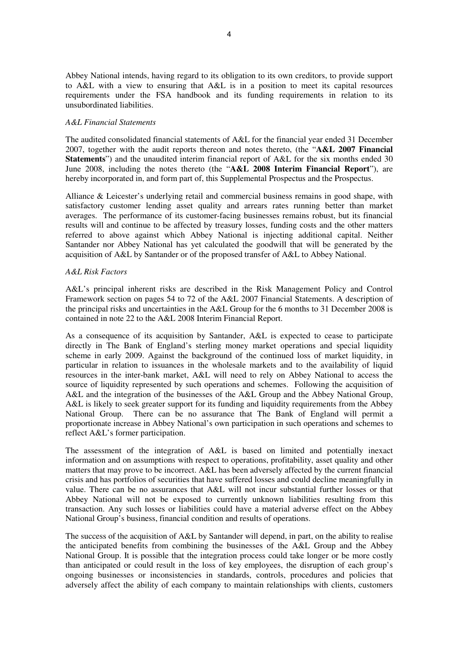Abbey National intends, having regard to its obligation to its own creditors, to provide support to A&L with a view to ensuring that A&L is in a position to meet its capital resources requirements under the FSA handbook and its funding requirements in relation to its unsubordinated liabilities.

#### *A&L Financial Statements*

The audited consolidated financial statements of A&L for the financial year ended 31 December 2007, together with the audit reports thereon and notes thereto, (the "**A&L 2007 Financial Statements**") and the unaudited interim financial report of A&L for the six months ended 30 June 2008, including the notes thereto (the "**A&L 2008 Interim Financial Report**"), are hereby incorporated in, and form part of, this Supplemental Prospectus and the Prospectus.

Alliance & Leicester's underlying retail and commercial business remains in good shape, with satisfactory customer lending asset quality and arrears rates running better than market averages. The performance of its customer-facing businesses remains robust, but its financial results will and continue to be affected by treasury losses, funding costs and the other matters referred to above against which Abbey National is injecting additional capital. Neither Santander nor Abbey National has yet calculated the goodwill that will be generated by the acquisition of A&L by Santander or of the proposed transfer of A&L to Abbey National.

### *A&L Risk Factors*

A&L's principal inherent risks are described in the Risk Management Policy and Control Framework section on pages 54 to 72 of the A&L 2007 Financial Statements. A description of the principal risks and uncertainties in the A&L Group for the 6 months to 31 December 2008 is contained in note 22 to the A&L 2008 Interim Financial Report.

As a consequence of its acquisition by Santander, A&L is expected to cease to participate directly in The Bank of England's sterling money market operations and special liquidity scheme in early 2009. Against the background of the continued loss of market liquidity, in particular in relation to issuances in the wholesale markets and to the availability of liquid resources in the inter-bank market, A&L will need to rely on Abbey National to access the source of liquidity represented by such operations and schemes. Following the acquisition of A&L and the integration of the businesses of the A&L Group and the Abbey National Group, A&L is likely to seek greater support for its funding and liquidity requirements from the Abbey National Group. There can be no assurance that The Bank of England will permit a proportionate increase in Abbey National's own participation in such operations and schemes to reflect A&L's former participation.

The assessment of the integration of A&L is based on limited and potentially inexact information and on assumptions with respect to operations, profitability, asset quality and other matters that may prove to be incorrect. A&L has been adversely affected by the current financial crisis and has portfolios of securities that have suffered losses and could decline meaningfully in value. There can be no assurances that A&L will not incur substantial further losses or that Abbey National will not be exposed to currently unknown liabilities resulting from this transaction. Any such losses or liabilities could have a material adverse effect on the Abbey National Group's business, financial condition and results of operations.

The success of the acquisition of A&L by Santander will depend, in part, on the ability to realise the anticipated benefits from combining the businesses of the A&L Group and the Abbey National Group. It is possible that the integration process could take longer or be more costly than anticipated or could result in the loss of key employees, the disruption of each group's ongoing businesses or inconsistencies in standards, controls, procedures and policies that adversely affect the ability of each company to maintain relationships with clients, customers